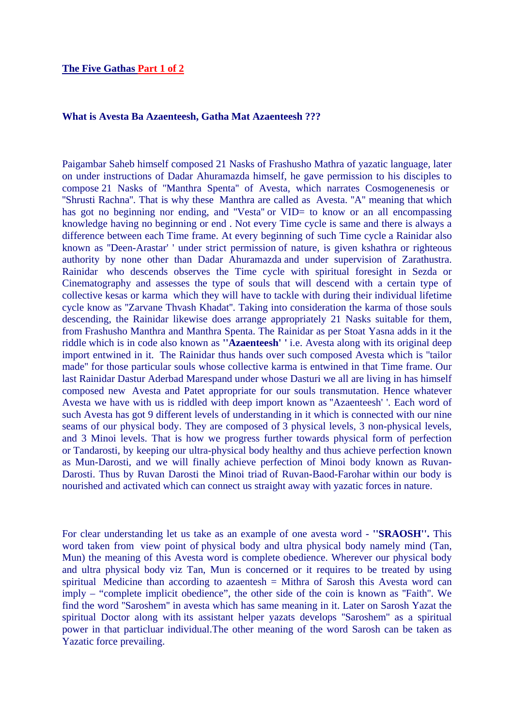## **What is Avesta Ba Azaenteesh, Gatha Mat Azaenteesh ???**

Paigambar Saheb himself composed 21 Nasks of Frashusho Mathra of yazatic language, later on under instructions of Dadar Ahuramazda himself, he gave permission to his disciples to compose 21 Nasks of ''Manthra Spenta'' of Avesta, which narrates Cosmogenenesis or ''Shrusti Rachna''. That is why these Manthra are called as Avesta. ''A'' meaning that which has got no beginning nor ending, and "Vesta" or VID= to know or an all encompassing knowledge having no beginning or end . Not every Time cycle is same and there is always a difference between each Time frame. At every beginning of such Time cycle a Rainidar also known as ''Deen-Arastar' ' under strict permission of nature, is given kshathra or righteous authority by none other than Dadar Ahuramazda and under supervision of Zarathustra. Rainidar who descends observes the Time cycle with spiritual foresight in Sezda or Cinematography and assesses the type of souls that will descend with a certain type of collective kesas or karma which they will have to tackle with during their individual lifetime cycle know as ''Zarvane Thvash Khadat''. Taking into consideration the karma of those souls descending, the Rainidar likewise does arrange appropriately 21 Nasks suitable for them, from Frashusho Manthra and Manthra Spenta. The Rainidar as per Stoat Yasna adds in it the riddle which is in code also known as **''Azaenteesh' '** i.e. Avesta along with its original deep import entwined in it. The Rainidar thus hands over such composed Avesta which is ''tailor made'' for those particular souls whose collective karma is entwined in that Time frame. Our last Rainidar Dastur Aderbad Marespand under whose Dasturi we all are living in has himself composed new Avesta and Patet appropriate for our souls transmutation. Hence whatever Avesta we have with us is riddled with deep import known as ''Azaenteesh' '. Each word of such Avesta has got 9 different levels of understanding in it which is connected with our nine seams of our physical body. They are composed of 3 physical levels, 3 non-physical levels, and 3 Minoi levels. That is how we progress further towards physical form of perfection or Tandarosti, by keeping our ultra-physical body healthy and thus achieve perfection known as Mun-Darosti, and we will finally achieve perfection of Minoi body known as Ruvan-Darosti. Thus by Ruvan Darosti the Minoi triad of Ruvan-Baod-Farohar within our body is nourished and activated which can connect us straight away with yazatic forces in nature.

For clear understanding let us take as an example of one avesta word - **''SRAOSH''.** This word taken from view point of physical body and ultra physical body namely mind (Tan, Mun) the meaning of this Avesta word is complete obedience. Wherever our physical body and ultra physical body viz Tan, Mun is concerned or it requires to be treated by using spiritual Medicine than according to azaentesh = Mithra of Sarosh this Avesta word can imply – "complete implicit obedience", the other side of the coin is known as ''Faith''. We find the word ''Saroshem'' in avesta which has same meaning in it. Later on Sarosh Yazat the spiritual Doctor along with its assistant helper yazats develops ''Saroshem'' as a spiritual power in that particluar individual.The other meaning of the word Sarosh can be taken as Yazatic force prevailing.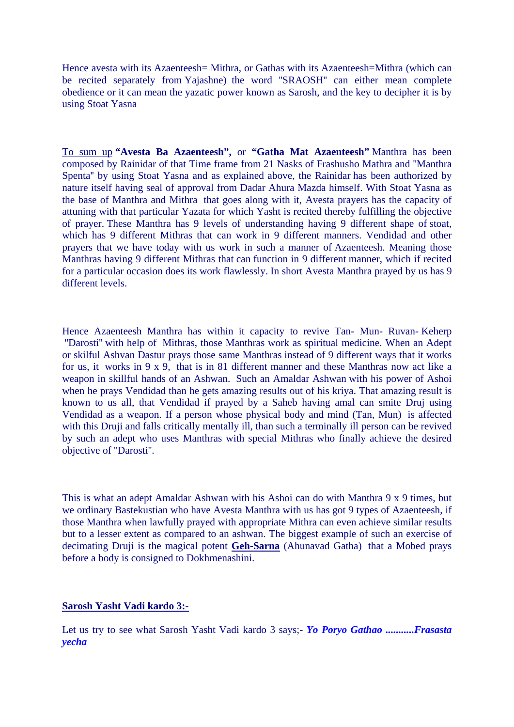Hence avesta with its Azaenteesh= Mithra, or Gathas with its Azaenteesh=Mithra (which can be recited separately from Yajashne) the word ''SRAOSH'' can either mean complete obedience or it can mean the yazatic power known as Sarosh, and the key to decipher it is by using Stoat Yasna

To sum up **"Avesta Ba Azaenteesh",** or **"Gatha Mat Azaenteesh"** Manthra has been composed by Rainidar of that Time frame from 21 Nasks of Frashusho Mathra and ''Manthra Spenta'' by using Stoat Yasna and as explained above, the Rainidar has been authorized by nature itself having seal of approval from Dadar Ahura Mazda himself. With Stoat Yasna as the base of Manthra and Mithra that goes along with it, Avesta prayers has the capacity of attuning with that particular Yazata for which Yasht is recited thereby fulfilling the objective of prayer. These Manthra has 9 levels of understanding having 9 different shape of stoat, which has 9 different Mithras that can work in 9 different manners. Vendidad and other prayers that we have today with us work in such a manner of Azaenteesh. Meaning those Manthras having 9 different Mithras that can function in 9 different manner, which if recited for a particular occasion does its work flawlessly. In short Avesta Manthra prayed by us has 9 different levels.

Hence Azaenteesh Manthra has within it capacity to revive Tan- Mun- Ruvan- Keherp ''Darosti'' with help of Mithras, those Manthras work as spiritual medicine. When an Adept or skilful Ashvan Dastur prays those same Manthras instead of 9 different ways that it works for us, it works in 9 x 9, that is in 81 different manner and these Manthras now act like a weapon in skillful hands of an Ashwan. Such an Amaldar Ashwan with his power of Ashoi when he prays Vendidad than he gets amazing results out of his kriya. That amazing result is known to us all, that Vendidad if prayed by a Saheb having amal can smite Druj using Vendidad as a weapon. If a person whose physical body and mind (Tan, Mun) is affected with this Druji and falls critically mentally ill, than such a terminally ill person can be revived by such an adept who uses Manthras with special Mithras who finally achieve the desired objective of ''Darosti''.

This is what an adept Amaldar Ashwan with his Ashoi can do with Manthra 9 x 9 times, but we ordinary Bastekustian who have Avesta Manthra with us has got 9 types of Azaenteesh, if those Manthra when lawfully prayed with appropriate Mithra can even achieve similar results but to a lesser extent as compared to an ashwan. The biggest example of such an exercise of decimating Druji is the magical potent **Geh-Sarna** (Ahunavad Gatha) that a Mobed prays before a body is consigned to Dokhmenashini.

## **Sarosh Yasht Vadi kardo 3:-**

Let us try to see what Sarosh Yasht Vadi kardo 3 says;- *Yo Poryo Gathao ...........Frasasta yecha*